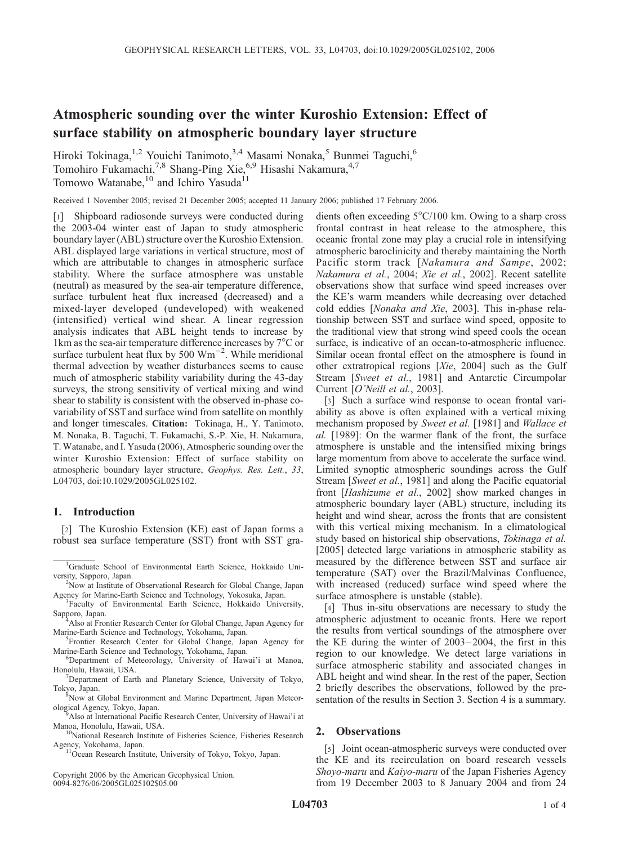# Atmospheric sounding over the winter Kuroshio Extension: Effect of surface stability on atmospheric boundary layer structure

Hiroki Tokinaga,<sup>1,2</sup> Youichi Tanimoto,<sup>3,4</sup> Masami Nonaka,<sup>5</sup> Bunmei Taguchi,<sup>6</sup> Tomohiro Fukamachi,<sup>7,8</sup> Shang-Ping Xie,<sup>6,9</sup> Hisashi Nakamura,<sup>4,7</sup> Tomowo Watanabe,<sup>10</sup> and Ichiro Yasuda<sup>11</sup>

Received 1 November 2005; revised 21 December 2005; accepted 11 January 2006; published 17 February 2006.

[1] Shipboard radiosonde surveys were conducted during the 2003-04 winter east of Japan to study atmospheric boundary layer (ABL) structure over the Kuroshio Extension. ABL displayed large variations in vertical structure, most of which are attributable to changes in atmospheric surface stability. Where the surface atmosphere was unstable (neutral) as measured by the sea-air temperature difference, surface turbulent heat flux increased (decreased) and a mixed-layer developed (undeveloped) with weakened (intensified) vertical wind shear. A linear regression analysis indicates that ABL height tends to increase by 1 km as the sea-air temperature difference increases by  $7^{\circ}$ C or surface turbulent heat flux by 500  $\text{Wm}^{-2}$ . While meridional thermal advection by weather disturbances seems to cause much of atmospheric stability variability during the 43-day surveys, the strong sensitivity of vertical mixing and wind shear to stability is consistent with the observed in-phase covariability of SST and surface wind from satellite on monthly and longer timescales. Citation: Tokinaga, H., Y. Tanimoto, M. Nonaka, B. Taguchi, T. Fukamachi, S.-P. Xie, H. Nakamura, T. Watanabe, and I. Yasuda (2006), Atmospheric sounding over the winter Kuroshio Extension: Effect of surface stability on atmospheric boundary layer structure, Geophys. Res. Lett., 33, L04703, doi:10.1029/2005GL025102.

# 1. Introduction

[2] The Kuroshio Extension (KE) east of Japan forms a robust sea surface temperature (SST) front with SST gra-

- Sapporo, Japan. <sup>4</sup> Also at Frontier Research Center for Global Change, Japan Agency for Marine-Earth Science and Technology, Yokohama, Japan. <sup>5</sup>
- Frontier Research Center for Global Change, Japan Agency for Marine-Earth Science and Technology, Yokohama, Japan. <sup>6</sup>
- Department of Meteorology, University of Hawai'i at Manoa, Honolulu, Hawaii, USA. <sup>7</sup>
- <sup>7</sup>Department of Earth and Planetary Science, University of Tokyo,

Tokyo, Japan. <sup>8</sup> Now at Global Environment and Marine Department, Japan Meteorological Agency, Tokyo, Japan. <sup>9</sup>

Copyright 2006 by the American Geophysical Union. 0094-8276/06/2005GL025102\$05.00

dients often exceeding  $5^{\circ}$ C/100 km. Owing to a sharp cross frontal contrast in heat release to the atmosphere, this oceanic frontal zone may play a crucial role in intensifying atmospheric baroclinicity and thereby maintaining the North Pacific storm track [Nakamura and Sampe, 2002; Nakamura et al., 2004; Xie et al., 2002]. Recent satellite observations show that surface wind speed increases over the KE's warm meanders while decreasing over detached cold eddies [Nonaka and Xie, 2003]. This in-phase relationship between SST and surface wind speed, opposite to the traditional view that strong wind speed cools the ocean surface, is indicative of an ocean-to-atmospheric influence. Similar ocean frontal effect on the atmosphere is found in other extratropical regions [Xie, 2004] such as the Gulf Stream [Sweet et al., 1981] and Antarctic Circumpolar Current [O'Neill et al., 2003].

[3] Such a surface wind response to ocean frontal variability as above is often explained with a vertical mixing mechanism proposed by Sweet et al. [1981] and *Wallace et* al. [1989]: On the warmer flank of the front, the surface atmosphere is unstable and the intensified mixing brings large momentum from above to accelerate the surface wind. Limited synoptic atmospheric soundings across the Gulf Stream [Sweet et al., 1981] and along the Pacific equatorial front [Hashizume et al., 2002] show marked changes in atmospheric boundary layer (ABL) structure, including its height and wind shear, across the fronts that are consistent with this vertical mixing mechanism. In a climatological study based on historical ship observations, Tokinaga et al. [2005] detected large variations in atmospheric stability as measured by the difference between SST and surface air temperature (SAT) over the Brazil/Malvinas Confluence, with increased (reduced) surface wind speed where the surface atmosphere is unstable (stable).

[4] Thus in-situ observations are necessary to study the atmospheric adjustment to oceanic fronts. Here we report the results from vertical soundings of the atmosphere over the KE during the winter of 2003– 2004, the first in this region to our knowledge. We detect large variations in surface atmospheric stability and associated changes in ABL height and wind shear. In the rest of the paper, Section 2 briefly describes the observations, followed by the presentation of the results in Section 3. Section 4 is a summary.

# 2. Observations

[5] Joint ocean-atmospheric surveys were conducted over the KE and its recirculation on board research vessels Shoyo-maru and Kaiyo-maru of the Japan Fisheries Agency from 19 December 2003 to 8 January 2004 and from 24

<sup>&</sup>lt;sup>1</sup>Graduate School of Environmental Earth Science, Hokkaido University, Sapporo, Japan. <sup>2</sup>

<sup>&</sup>lt;sup>2</sup>Now at Institute of Observational Research for Global Change, Japan Agency for Marine-Earth Science and Technology, Yokosuka, Japan. <sup>3</sup>

<sup>&</sup>lt;sup>3</sup>Faculty of Environmental Earth Science, Hokkaido University,

<sup>&</sup>lt;sup>9</sup> Also at International Pacific Research Center, University of Hawai'i at Manoa, Honolulu, Hawaii, USA.

<sup>&</sup>lt;sup>10</sup>National Research Institute of Fisheries Science, Fisheries Research Agency, Yokohama, Japan. 11Ocean Research Institute, University of Tokyo, Tokyo, Japan.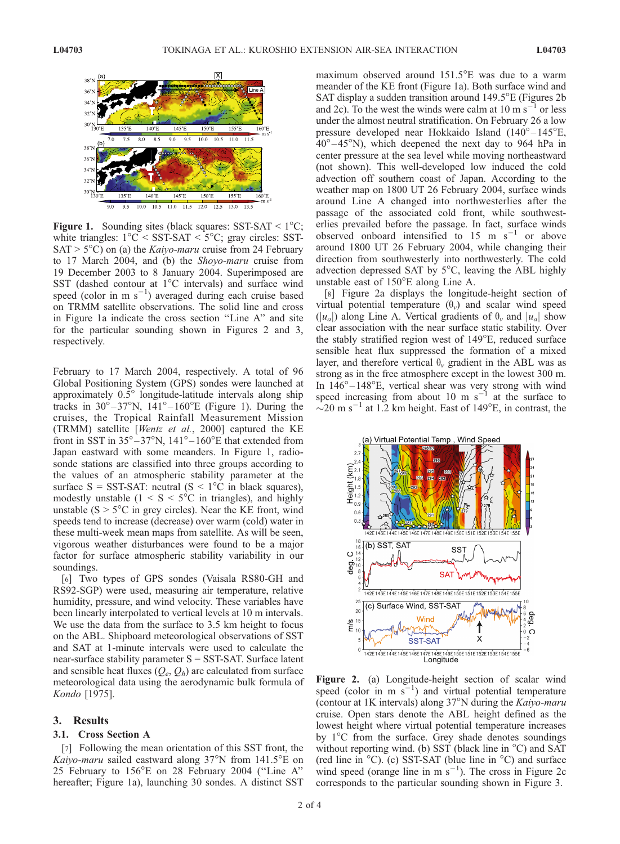

**Figure 1.** Sounding sites (black squares:  $SST-SAT < 1^{\circ}C$ ; white triangles:  $1^{\circ}$ C < SST-SAT <  $5^{\circ}$ C; gray circles: SST- $SAT > 5^{\circ}C$ ) on (a) the *Kaiyo-maru* cruise from 24 February to 17 March 2004, and (b) the Shoyo-maru cruise from 19 December 2003 to 8 January 2004. Superimposed are SST (dashed contour at  $1^{\circ}$ C intervals) and surface wind speed (color in m  $s^{-1}$ ) averaged during each cruise based on TRMM satellite observations. The solid line and cross in Figure 1a indicate the cross section ''Line A'' and site for the particular sounding shown in Figures 2 and 3, respectively.

February to 17 March 2004, respectively. A total of 96 Global Positioning System (GPS) sondes were launched at approximately 0.5° longitude-latitude intervals along ship tracks in  $30^{\circ} - 37^{\circ}$ N,  $141^{\circ} - 160^{\circ}$ E (Figure 1). During the cruises, the Tropical Rainfall Measurement Mission (TRMM) satellite [Wentz et al., 2000] captured the KE front in SST in  $35^{\circ} - 37^{\circ}N$ ,  $141^{\circ} - 160^{\circ}E$  that extended from Japan eastward with some meanders. In Figure 1, radiosonde stations are classified into three groups according to the values of an atmospheric stability parameter at the surface  $S = SST-SAT$ : neutral  $(S < 1^{\circ}C$  in black squares), modestly unstable ( $1 \le S \le 5^{\circ}$ C in triangles), and highly unstable ( $S > 5^{\circ}C$  in grey circles). Near the KE front, wind speeds tend to increase (decrease) over warm (cold) water in these multi-week mean maps from satellite. As will be seen, vigorous weather disturbances were found to be a major factor for surface atmospheric stability variability in our soundings.

[6] Two types of GPS sondes (Vaisala RS80-GH and RS92-SGP) were used, measuring air temperature, relative humidity, pressure, and wind velocity. These variables have been linearly interpolated to vertical levels at 10 m intervals. We use the data from the surface to 3.5 km height to focus on the ABL. Shipboard meteorological observations of SST and SAT at 1-minute intervals were used to calculate the near-surface stability parameter S = SST-SAT. Surface latent and sensible heat fluxes  $(Q_e, Q_h)$  are calculated from surface meteorological data using the aerodynamic bulk formula of Kondo [1975].

## 3. Results

## 3.1. Cross Section A

[7] Following the mean orientation of this SST front, the Kaiyo-maru sailed eastward along  $37^{\circ}$ N from  $141.5^{\circ}$ E on 25 February to  $156^{\circ}$ E on 28 February 2004 ("Line A" hereafter; Figure 1a), launching 30 sondes. A distinct SST

maximum observed around  $151.5^{\circ}$ E was due to a warm meander of the KE front (Figure 1a). Both surface wind and SAT display a sudden transition around  $149.5^{\circ}E$  (Figures 2b) and 2c). To the west the winds were calm at  $10 \text{ m s}^{-1}$  or less under the almost neutral stratification. On February 26 a low pressure developed near Hokkaido Island  $(140^{\circ} - 145^{\circ}E,$  $40^{\circ} - 45^{\circ}$ N), which deepened the next day to 964 hPa in center pressure at the sea level while moving northeastward (not shown). This well-developed low induced the cold advection off southern coast of Japan. According to the weather map on 1800 UT 26 February 2004, surface winds around Line A changed into northwesterlies after the passage of the associated cold front, while southwesterlies prevailed before the passage. In fact, surface winds observed onboard intensified to 15 m  $s^{-1}$  or above around 1800 UT 26 February 2004, while changing their direction from southwesterly into northwesterly. The cold advection depressed SAT by  $5^{\circ}$ C, leaving the ABL highly unstable east of  $150^{\circ}$ E along Line A.

[8] Figure 2a displays the longitude-height section of virtual potential temperature  $(\theta_v)$  and scalar wind speed  $(|u_a|)$  along Line A. Vertical gradients of  $\theta_{\nu}$  and  $|u_a|$  show clear association with the near surface static stability. Over the stably stratified region west of 149°E, reduced surface sensible heat flux suppressed the formation of a mixed layer, and therefore vertical  $\theta_{\nu}$  gradient in the ABL was as strong as in the free atmosphere except in the lowest 300 m. In  $146^{\circ} - 148^{\circ}$ E, vertical shear was very strong with wind speed increasing from about 10 m  $s^{-1}$  at the surface to  $\sim$ 20 m s<sup>-1</sup> at 1.2 km height. East of 149<sup>o</sup>E, in contrast, the



Figure 2. (a) Longitude-height section of scalar wind speed (color in m  $\overline{s}^{-1}$ ) and virtual potential temperature (contour at 1K intervals) along  $37^{\circ}$ N during the *Kaiyo-maru* cruise. Open stars denote the ABL height defined as the lowest height where virtual potential temperature increases by  $1^{\circ}$ C from the surface. Grey shade denotes soundings without reporting wind. (b) SST (black line in  $\mathrm{^{\circ}C}$ ) and SAT (red line in  $\degree$ C). (c) SST-SAT (blue line in  $\degree$ C) and surface wind speed (orange line in  $m s^{-1}$ ). The cross in Figure 2c corresponds to the particular sounding shown in Figure 3.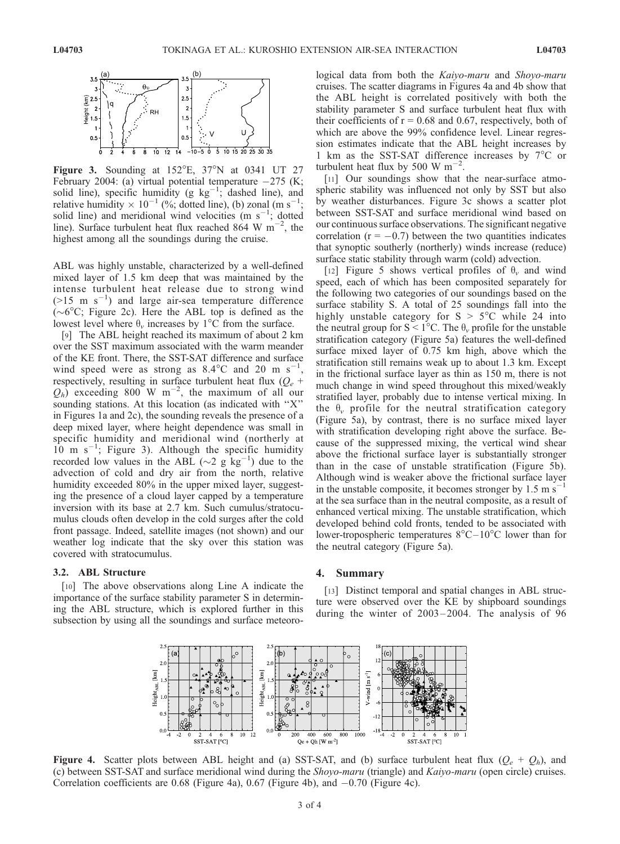

Figure 3. Sounding at  $152^{\circ}E$ ,  $37^{\circ}N$  at 0341 UT 27 February 2004: (a) virtual potential temperature  $-275$  (K; solid line), specific humidity (g  $kg^{-1}$ ; dashed line), and relative humidity  $\times 10^{-1}$  (%; dotted line), (b) zonal (m s<sup>-1</sup>; solid line) and meridional wind velocities (m  $s^{-1}$ ; dotted line). Surface turbulent heat flux reached 864 W  $\text{m}^{-2}$ , the highest among all the soundings during the cruise.

ABL was highly unstable, characterized by a well-defined mixed layer of 1.5 km deep that was maintained by the intense turbulent heat release due to strong wind  $($ >15 m s<sup>-1</sup>) and large air-sea temperature difference  $(\sim 6^{\circ}C$ ; Figure 2c). Here the ABL top is defined as the lowest level where  $\theta_{\nu}$  increases by 1<sup>o</sup>C from the surface.

[9] The ABL height reached its maximum of about 2 km over the SST maximum associated with the warm meander of the KE front. There, the SST-SAT difference and surface wind speed were as strong as  $8.4^{\circ}$ C and  $20 \text{ m s}^{-1}$ , respectively, resulting in surface turbulent heat flux  $(Q_e +$  $Q_h$ ) exceeding 800 W m<sup>-2</sup>, the maximum of all our sounding stations. At this location (as indicated with ''X'' in Figures 1a and 2c), the sounding reveals the presence of a deep mixed layer, where height dependence was small in specific humidity and meridional wind (northerly at  $10 \text{ m s}^{-1}$ ; Figure 3). Although the specific humidity recorded low values in the ABL ( $\sim$ 2 g kg<sup>-1</sup>) due to the advection of cold and dry air from the north, relative humidity exceeded 80% in the upper mixed layer, suggesting the presence of a cloud layer capped by a temperature inversion with its base at 2.7 km. Such cumulus/stratocumulus clouds often develop in the cold surges after the cold front passage. Indeed, satellite images (not shown) and our weather log indicate that the sky over this station was covered with stratocumulus.

#### 3.2. ABL Structure

[10] The above observations along Line A indicate the importance of the surface stability parameter S in determining the ABL structure, which is explored further in this subsection by using all the soundings and surface meteorological data from both the Kaiyo-maru and Shoyo-maru cruises. The scatter diagrams in Figures 4a and 4b show that the ABL height is correlated positively with both the stability parameter S and surface turbulent heat flux with their coefficients of  $r = 0.68$  and 0.67, respectively, both of which are above the 99% confidence level. Linear regression estimates indicate that the ABL height increases by 1 km as the SST-SAT difference increases by  $7^{\circ}$ C or turbulent heat flux by 500 W  $m^{-2}$ .

[11] Our soundings show that the near-surface atmospheric stability was influenced not only by SST but also by weather disturbances. Figure 3c shows a scatter plot between SST-SAT and surface meridional wind based on our continuous surface observations. The significant negative correlation ( $r = -0.7$ ) between the two quantities indicates that synoptic southerly (northerly) winds increase (reduce) surface static stability through warm (cold) advection.

[12] Figure 5 shows vertical profiles of  $\theta_{\nu}$  and wind speed, each of which has been composited separately for the following two categories of our soundings based on the surface stability S. A total of 25 soundings fall into the highly unstable category for  $S > 5^{\circ}C$  while 24 into the neutral group for  $S < 1^{\circ}C$ . The  $\theta_{\nu}$  profile for the unstable stratification category (Figure 5a) features the well-defined surface mixed layer of 0.75 km high, above which the stratification still remains weak up to about 1.3 km. Except in the frictional surface layer as thin as 150 m, there is not much change in wind speed throughout this mixed/weakly stratified layer, probably due to intense vertical mixing. In the  $\theta_{\nu}$  profile for the neutral stratification category (Figure 5a), by contrast, there is no surface mixed layer with stratification developing right above the surface. Because of the suppressed mixing, the vertical wind shear above the frictional surface layer is substantially stronger than in the case of unstable stratification (Figure 5b). Although wind is weaker above the frictional surface layer in the unstable composite, it becomes stronger by  $1.5 \text{ m s}^{-1}$ at the sea surface than in the neutral composite, as a result of enhanced vertical mixing. The unstable stratification, which developed behind cold fronts, tended to be associated with lower-tropospheric temperatures  $8^{\circ}$ C $-10^{\circ}$ C lower than for the neutral category (Figure 5a).

# 4. Summary

[13] Distinct temporal and spatial changes in ABL structure were observed over the KE by shipboard soundings during the winter of 2003-2004. The analysis of 96



Figure 4. Scatter plots between ABL height and (a) SST-SAT, and (b) surface turbulent heat flux  $(Q_e + Q_h)$ , and (c) between SST-SAT and surface meridional wind during the Shoyo-maru (triangle) and Kaiyo-maru (open circle) cruises. Correlation coefficients are 0.68 (Figure 4a), 0.67 (Figure 4b), and  $-0.70$  (Figure 4c).